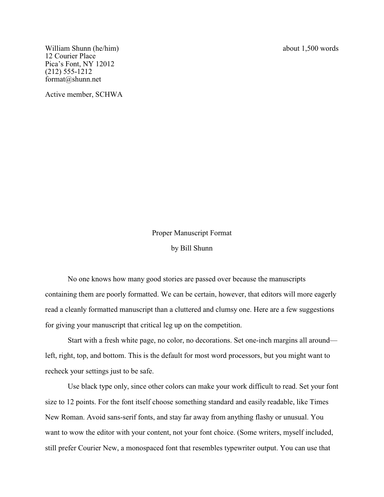William Shunn (he/him) about 1,500 words 12 Courier Place Pica's Font, NY 12012 (212) 555-1212 format@shunn.net

Active member, SCHWA

Proper Manuscript Format by Bill Shunn

No one knows how many good stories are passed over because the manuscripts containing them are poorly formatted. We can be certain, however, that editors will more eagerly read a cleanly formatted manuscript than a cluttered and clumsy one. Here are a few suggestions for giving your manuscript that critical leg up on the competition.

Start with a fresh white page, no color, no decorations. Set one-inch margins all around left, right, top, and bottom. This is the default for most word processors, but you might want to recheck your settings just to be safe.

Use black type only, since other colors can make your work difficult to read. Set your font size to 12 points. For the font itself choose something standard and easily readable, like Times New Roman. Avoid sans-serif fonts, and stay far away from anything flashy or unusual. You want to wow the editor with your content, not your font choice. (Some writers, myself included, still prefer Courier New, a monospaced font that resembles typewriter output. You can use that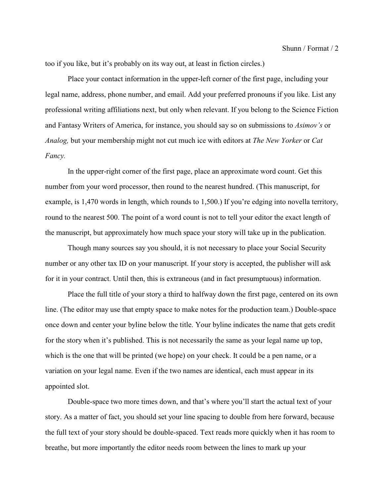too if you like, but it's probably on its way out, at least in fiction circles.)

Place your contact information in the upper-left corner of the first page, including your legal name, address, phone number, and email. Add your preferred pronouns if you like. List any professional writing affiliations next, but only when relevant. If you belong to the Science Fiction and Fantasy Writers of America, for instance, you should say so on submissions to *Asimov's* or *Analog,* but your membership might not cut much ice with editors at *The New Yorker* or *Cat Fancy.*

In the upper-right corner of the first page, place an approximate word count. Get this number from your word processor, then round to the nearest hundred. (This manuscript, for example, is 1,470 words in length, which rounds to 1,500.) If you're edging into novella territory, round to the nearest 500. The point of a word count is not to tell your editor the exact length of the manuscript, but approximately how much space your story will take up in the publication.

Though many sources say you should, it is not necessary to place your Social Security number or any other tax ID on your manuscript. If your story is accepted, the publisher will ask for it in your contract. Until then, this is extraneous (and in fact presumptuous) information.

Place the full title of your story a third to halfway down the first page, centered on its own line. (The editor may use that empty space to make notes for the production team.) Double-space once down and center your byline below the title. Your byline indicates the name that gets credit for the story when it's published. This is not necessarily the same as your legal name up top, which is the one that will be printed (we hope) on your check. It could be a pen name, or a variation on your legal name. Even if the two names are identical, each must appear in its appointed slot.

Double-space two more times down, and that's where you'll start the actual text of your story. As a matter of fact, you should set your line spacing to double from here forward, because the full text of your story should be double-spaced. Text reads more quickly when it has room to breathe, but more importantly the editor needs room between the lines to mark up your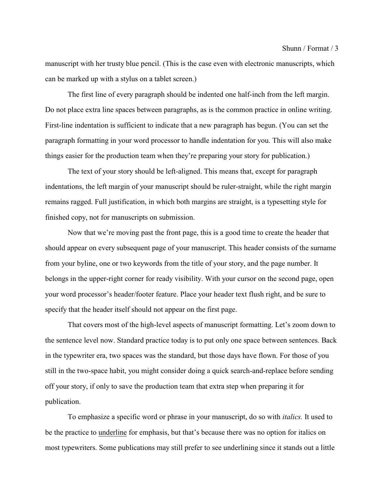manuscript with her trusty blue pencil. (This is the case even with electronic manuscripts, which can be marked up with a stylus on a tablet screen.)

The first line of every paragraph should be indented one half-inch from the left margin. Do not place extra line spaces between paragraphs, as is the common practice in online writing. First-line indentation is sufficient to indicate that a new paragraph has begun. (You can set the paragraph formatting in your word processor to handle indentation for you. This will also make things easier for the production team when they're preparing your story for publication.)

The text of your story should be left-aligned. This means that, except for paragraph indentations, the left margin of your manuscript should be ruler-straight, while the right margin remains ragged. Full justification, in which both margins are straight, is a typesetting style for finished copy, not for manuscripts on submission.

Now that we're moving past the front page, this is a good time to create the header that should appear on every subsequent page of your manuscript. This header consists of the surname from your byline, one or two keywords from the title of your story, and the page number. It belongs in the upper-right corner for ready visibility. With your cursor on the second page, open your word processor's header/footer feature. Place your header text flush right, and be sure to specify that the header itself should not appear on the first page.

That covers most of the high-level aspects of manuscript formatting. Let's zoom down to the sentence level now. Standard practice today is to put only one space between sentences. Back in the typewriter era, two spaces was the standard, but those days have flown. For those of you still in the two-space habit, you might consider doing a quick search-and-replace before sending off your story, if only to save the production team that extra step when preparing it for publication.

To emphasize a specific word or phrase in your manuscript, do so with *italics.* It used to be the practice to underline for emphasis, but that's because there was no option for italics on most typewriters. Some publications may still prefer to see underlining since it stands out a little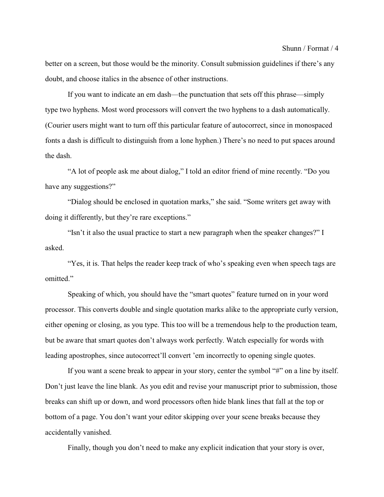better on a screen, but those would be the minority. Consult submission guidelines if there's any doubt, and choose italics in the absence of other instructions.

If you want to indicate an em dash—the punctuation that sets off this phrase—simply type two hyphens. Most word processors will convert the two hyphens to a dash automatically. (Courier users might want to turn off this particular feature of autocorrect, since in monospaced fonts a dash is difficult to distinguish from a lone hyphen.) There's no need to put spaces around the dash.

"A lot of people ask me about dialog," I told an editor friend of mine recently. "Do you have any suggestions?"

"Dialog should be enclosed in quotation marks," she said. "Some writers get away with doing it differently, but they're rare exceptions."

"Isn't it also the usual practice to start a new paragraph when the speaker changes?" I asked.

"Yes, it is. That helps the reader keep track of who's speaking even when speech tags are omitted"

Speaking of which, you should have the "smart quotes" feature turned on in your word processor. This converts double and single quotation marks alike to the appropriate curly version, either opening or closing, as you type. This too will be a tremendous help to the production team, but be aware that smart quotes don't always work perfectly. Watch especially for words with leading apostrophes, since autocorrect'll convert 'em incorrectly to opening single quotes.

If you want a scene break to appear in your story, center the symbol "#" on a line by itself. Don't just leave the line blank. As you edit and revise your manuscript prior to submission, those breaks can shift up or down, and word processors often hide blank lines that fall at the top or bottom of a page. You don't want your editor skipping over your scene breaks because they accidentally vanished.

Finally, though you don't need to make any explicit indication that your story is over,